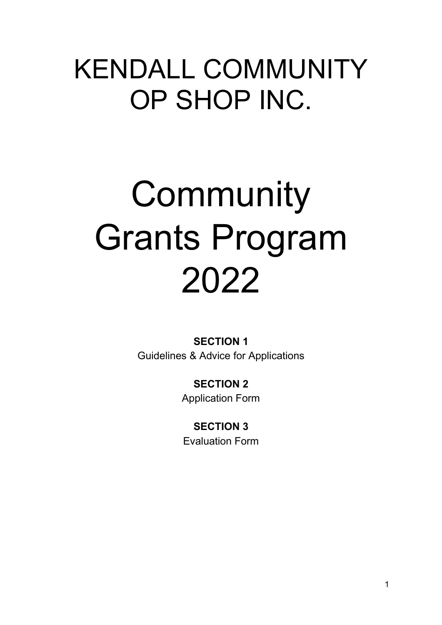# KENDALL COMMUNITY OP SHOP INC.

# **Community** Grants Program 2022

**SECTION 1** Guidelines & Advice for Applications

> **SECTION 2** Application Form

**SECTION 3** Evaluation Form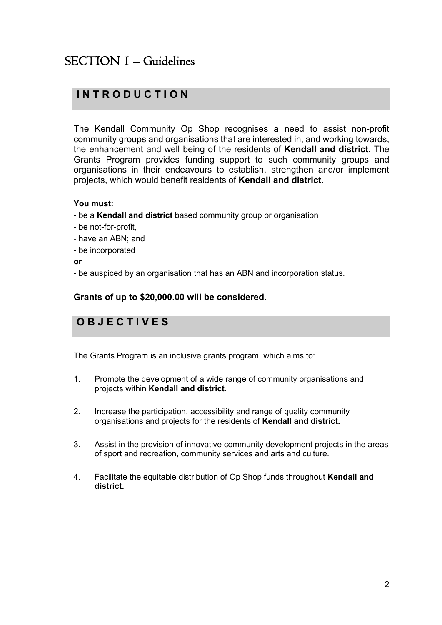# SECTION 1 – Guidelines

# **I N T R O D U C T I O N**

The Kendall Community Op Shop recognises a need to assist non-profit community groups and organisations that are interested in, and working towards, the enhancement and well being of the residents of **Kendall and district.** The Grants Program provides funding support to such community groups and organisations in their endeavours to establish, strengthen and/or implement projects, which would benefit residents of **Kendall and district.**

#### **You must:**

- be a **Kendall and district** based community group or organisation
- be not-for-profit,
- have an ABN; and
- be incorporated

#### **or**

- be auspiced by an organisation that has an ABN and incorporation status.

#### **Grants of up to \$20,000.00 will be considered.**

# **O B J E C T I V E S**

The Grants Program is an inclusive grants program, which aims to:

- 1. Promote the development of a wide range of community organisations and projects within **Kendall and district.**
- 2. Increase the participation, accessibility and range of quality community organisations and projects for the residents of **Kendall and district.**
- 3. Assist in the provision of innovative community development projects in the areas of sport and recreation, community services and arts and culture.
- 4. Facilitate the equitable distribution of Op Shop funds throughout **Kendall and district.**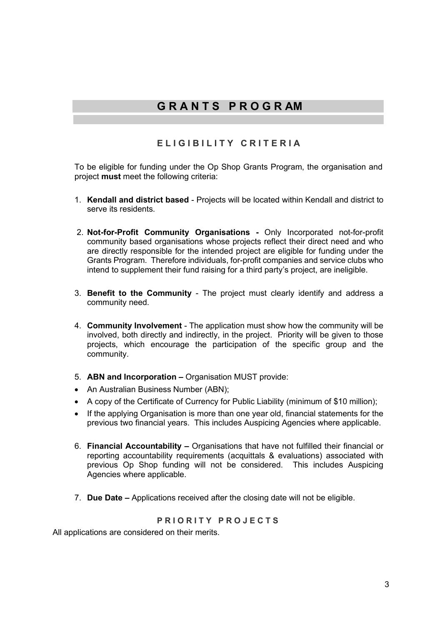# **G R A N T S P R O G R AM**

### **ELIGIBILITY CRITERIA**

To be eligible for funding under the Op Shop Grants Program, the organisation and project **must** meet the following criteria:

- 1. **Kendall and district based** Projects will be located within Kendall and district to serve its residents.
- 2. **Not-for-Profit Community Organisations -** Only Incorporated not-for-profit community based organisations whose projects reflect their direct need and who are directly responsible for the intended project are eligible for funding under the Grants Program. Therefore individuals, for-profit companies and service clubs who intend to supplement their fund raising for a third party's project, are ineligible.
- 3. **Benefit to the Community** The project must clearly identify and address a community need.
- 4. **Community Involvement** The application must show how the community will be involved, both directly and indirectly, in the project. Priority will be given to those projects, which encourage the participation of the specific group and the community.
- 5. **ABN and Incorporation –** Organisation MUST provide:
- An Australian Business Number (ABN);
- A copy of the Certificate of Currency for Public Liability (minimum of \$10 million);
- If the applying Organisation is more than one year old, financial statements for the previous two financial years. This includes Auspicing Agencies where applicable.
- 6. **Financial Accountability –** Organisations that have not fulfilled their financial or reporting accountability requirements (acquittals & evaluations) associated with previous Op Shop funding will not be considered. This includes Auspicing Agencies where applicable.
- 7. **Due Date –** Applications received after the closing date will not be eligible.

#### **PRIORITY PROJECTS**

All applications are considered on their merits.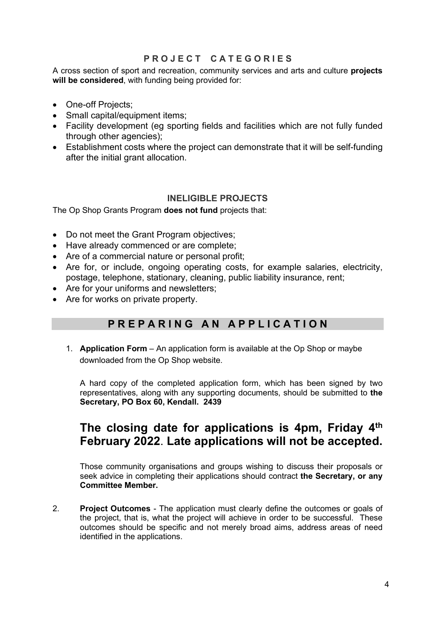#### **P R O J E C T C A T E G O R I E S**

A cross section of sport and recreation, community services and arts and culture **projects will be considered**, with funding being provided for:

- One-off Projects;
- Small capital/equipment items;
- Facility development (eg sporting fields and facilities which are not fully funded through other agencies);
- Establishment costs where the project can demonstrate that it will be self-funding after the initial grant allocation.

#### **INELIGIBLE PROJECTS**

The Op Shop Grants Program **does not fund** projects that:

- Do not meet the Grant Program objectives;
- Have already commenced or are complete;
- Are of a commercial nature or personal profit;
- Are for, or include, ongoing operating costs, for example salaries, electricity, postage, telephone, stationary, cleaning, public liability insurance, rent;
- Are for your uniforms and newsletters;
- Are for works on private property.

# **P R E P A R I N G A N A P P L I C A T I O N**

1. **Application Form** – An application form is available at the Op Shop or maybe downloaded from the Op Shop website.

A hard copy of the completed application form, which has been signed by two representatives, along with any supporting documents, should be submitted to **the Secretary, PO Box 60, Kendall. 2439**

# **The closing date for applications is 4pm, Friday 4th February 2022**. **Late applications will not be accepted.**

Those community organisations and groups wishing to discuss their proposals or seek advice in completing their applications should contract **the Secretary, or any Committee Member.**

2. **Project Outcomes** - The application must clearly define the outcomes or goals of the project, that is, what the project will achieve in order to be successful. These outcomes should be specific and not merely broad aims, address areas of need identified in the applications.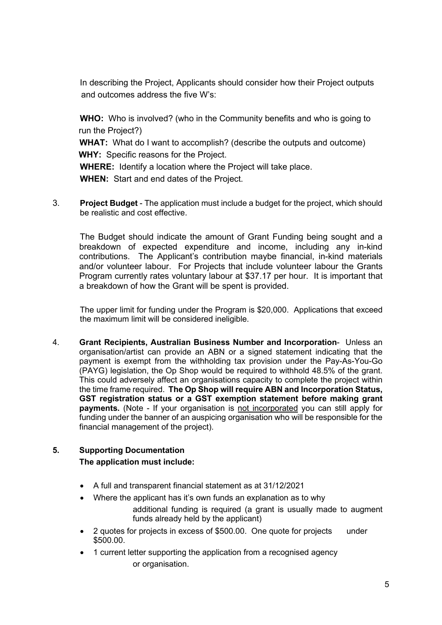In describing the Project, Applicants should consider how their Project outputs and outcomes address the five W's:

**WHO:** Who is involved? (who in the Community benefits and who is going to run the Project?)

 **WHAT:** What do I want to accomplish? (describe the outputs and outcome) **WHY:** Specific reasons for the Project.

**WHERE:** Identify a location where the Project will take place.

**WHEN:** Start and end dates of the Project.

3. **Project Budget** - The application must include a budget for the project, which should be realistic and cost effective.

The Budget should indicate the amount of Grant Funding being sought and a breakdown of expected expenditure and income, including any in-kind contributions. The Applicant's contribution maybe financial, in-kind materials and/or volunteer labour. For Projects that include volunteer labour the Grants Program currently rates voluntary labour at \$37.17 per hour. It is important that a breakdown of how the Grant will be spent is provided.

The upper limit for funding under the Program is \$20,000. Applications that exceed the maximum limit will be considered ineligible.

4. **Grant Recipients, Australian Business Number and Incorporation**- Unless an organisation/artist can provide an ABN or a signed statement indicating that the payment is exempt from the withholding tax provision under the Pay-As-You-Go (PAYG) legislation, the Op Shop would be required to withhold 48.5% of the grant. This could adversely affect an organisations capacity to complete the project within the time frame required. **The Op Shop will require ABN and Incorporation Status, GST registration status or a GST exemption statement before making grant payments.** (Note - If your organisation is not incorporated you can still apply for funding under the banner of an auspicing organisation who will be responsible for the financial management of the project).

#### **5. Supporting Documentation The application must include:**

- A full and transparent financial statement as at 31/12/2021
- Where the applicant has it's own funds an explanation as to why additional funding is required (a grant is usually made to augment

funds already held by the applicant)

- 2 quotes for projects in excess of \$500.00. One quote for projects under \$500.00.
- 1 current letter supporting the application from a recognised agency or organisation.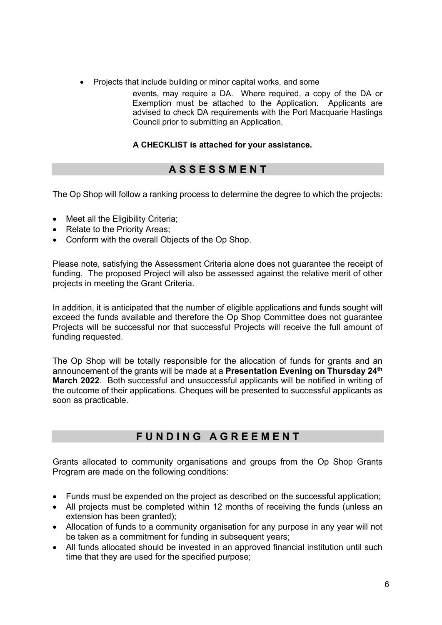- Projects that include building or minor capital works, and some
	- events, may require a DA. Where required, a copy of the DA or Exemption must be attached to the Application. Applicants are advised to check DA requirements with the Port Macquarie Hastings Council prior to submitting an Application.

#### **A CHECKLIST is attached for your assistance.**

# **A S S E S S M E N T**

The Op Shop will follow a ranking process to determine the degree to which the projects:

- Meet all the Eligibility Criteria;
- Relate to the Priority Areas;
- Conform with the overall Objects of the Op Shop.

Please note, satisfying the Assessment Criteria alone does not guarantee the receipt of funding. The proposed Project will also be assessed against the relative merit of other projects in meeting the Grant Criteria.

In addition, it is anticipated that the number of eligible applications and funds sought will exceed the funds available and therefore the Op Shop Committee does not guarantee Projects will be successful nor that successful Projects will receive the full amount of funding requested.

The Op Shop will be totally responsible for the allocation of funds for grants and an announcement of the grants will be made at a **Presentation Evening on Thursday 24th March 2022**. Both successful and unsuccessful applicants will be notified in writing of the outcome of their applications. Cheques will be presented to successful applicants as soon as practicable.

# **F U N D I N G A G R E E M E N T**

Grants allocated to community organisations and groups from the Op Shop Grants Program are made on the following conditions:

- Funds must be expended on the project as described on the successful application;
- All projects must be completed within 12 months of receiving the funds (unless an extension has been granted);
- Allocation of funds to a community organisation for any purpose in any year will not be taken as a commitment for funding in subsequent years;
- All funds allocated should be invested in an approved financial institution until such time that they are used for the specified purpose;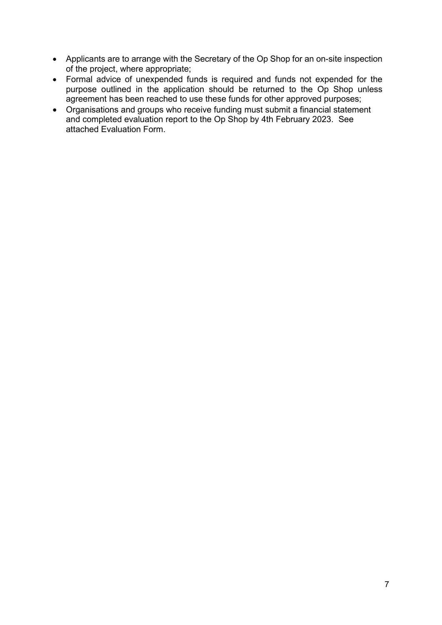- Applicants are to arrange with the Secretary of the Op Shop for an on-site inspection of the project, where appropriate;
- Formal advice of unexpended funds is required and funds not expended for the purpose outlined in the application should be returned to the Op Shop unless agreement has been reached to use these funds for other approved purposes;
- Organisations and groups who receive funding must submit a financial statement and completed evaluation report to the Op Shop by 4th February 2023. See attached Evaluation Form.